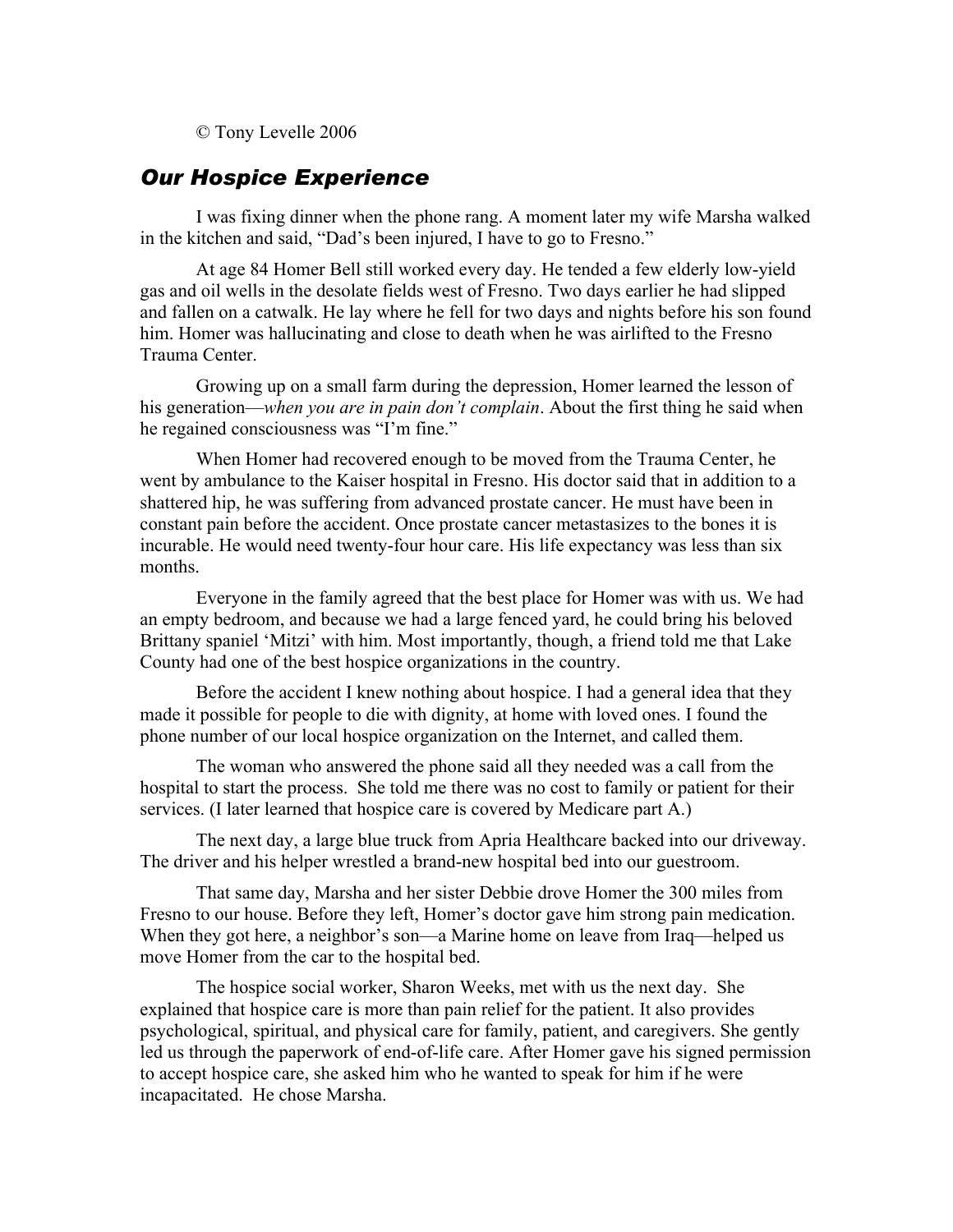© Tony Levelle 2006

## *Our Hospice Experience*

I was fixing dinner when the phone rang. A moment later my wife Marsha walked in the kitchen and said, "Dad's been injured, I have to go to Fresno."

At age 84 Homer Bell still worked every day. He tended a few elderly low-yield gas and oil wells in the desolate fields west of Fresno. Two days earlier he had slipped and fallen on a catwalk. He lay where he fell for two days and nights before his son found him. Homer was hallucinating and close to death when he was airlifted to the Fresno Trauma Center.

Growing up on a small farm during the depression, Homer learned the lesson of his generation—*when you are in pain don't complain*. About the first thing he said when he regained consciousness was "I'm fine."

When Homer had recovered enough to be moved from the Trauma Center, he went by ambulance to the Kaiser hospital in Fresno. His doctor said that in addition to a shattered hip, he was suffering from advanced prostate cancer. He must have been in constant pain before the accident. Once prostate cancer metastasizes to the bones it is incurable. He would need twenty-four hour care. His life expectancy was less than six months.

Everyone in the family agreed that the best place for Homer was with us. We had an empty bedroom, and because we had a large fenced yard, he could bring his beloved Brittany spaniel 'Mitzi' with him. Most importantly, though, a friend told me that Lake County had one of the best hospice organizations in the country.

Before the accident I knew nothing about hospice. I had a general idea that they made it possible for people to die with dignity, at home with loved ones. I found the phone number of our local hospice organization on the Internet, and called them.

The woman who answered the phone said all they needed was a call from the hospital to start the process. She told me there was no cost to family or patient for their services. (I later learned that hospice care is covered by Medicare part A.)

The next day, a large blue truck from Apria Healthcare backed into our driveway. The driver and his helper wrestled a brand-new hospital bed into our guestroom.

That same day, Marsha and her sister Debbie drove Homer the 300 miles from Fresno to our house. Before they left, Homer's doctor gave him strong pain medication. When they got here, a neighbor's son—a Marine home on leave from Iraq—helped us move Homer from the car to the hospital bed.

The hospice social worker, Sharon Weeks, met with us the next day. She explained that hospice care is more than pain relief for the patient. It also provides psychological, spiritual, and physical care for family, patient, and caregivers. She gently led us through the paperwork of end-of-life care. After Homer gave his signed permission to accept hospice care, she asked him who he wanted to speak for him if he were incapacitated. He chose Marsha.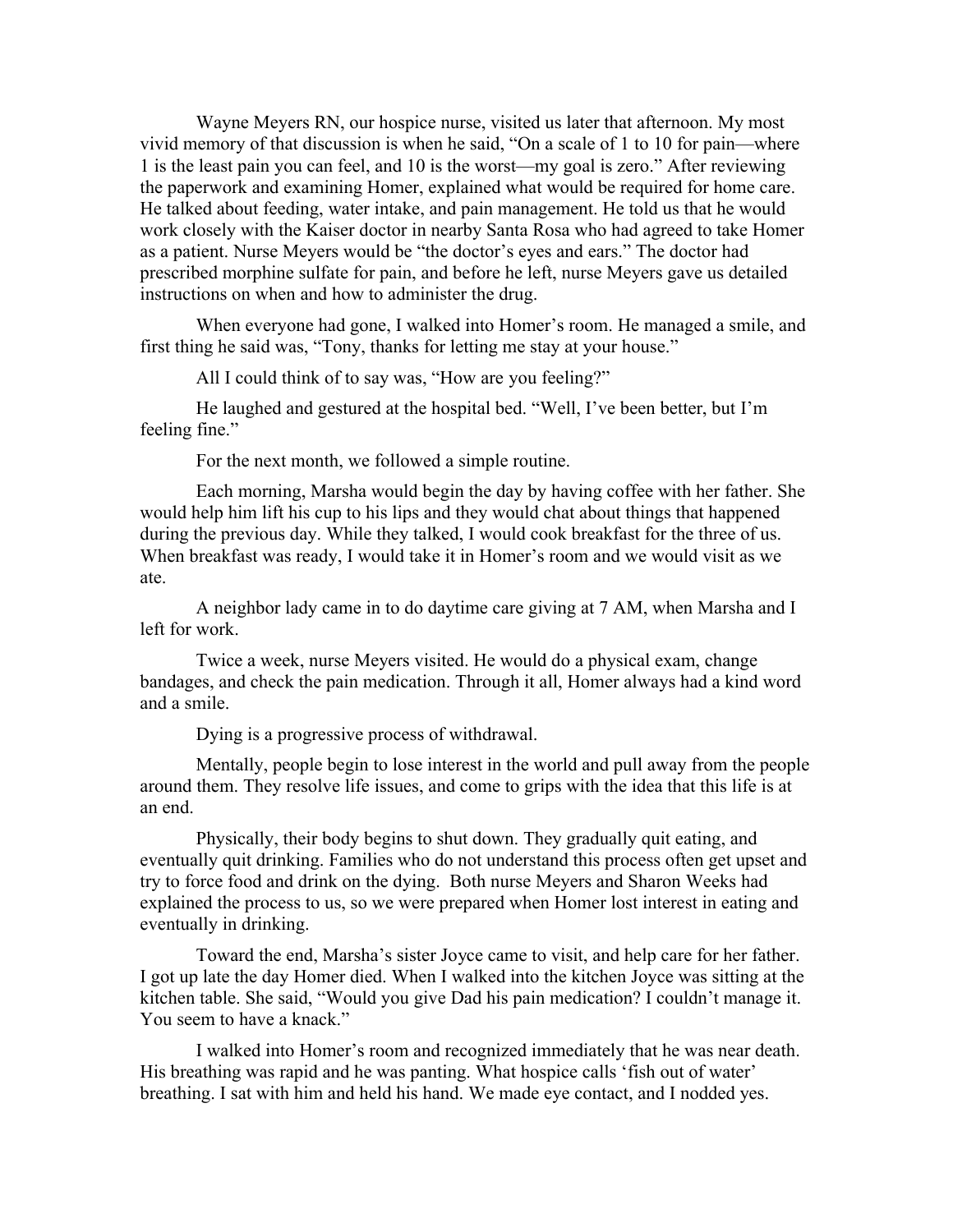Wayne Meyers RN, our hospice nurse, visited us later that afternoon. My most vivid memory of that discussion is when he said, "On a scale of 1 to 10 for pain—where 1 is the least pain you can feel, and 10 is the worst—my goal is zero." After reviewing the paperwork and examining Homer, explained what would be required for home care. He talked about feeding, water intake, and pain management. He told us that he would work closely with the Kaiser doctor in nearby Santa Rosa who had agreed to take Homer as a patient. Nurse Meyers would be "the doctor's eyes and ears." The doctor had prescribed morphine sulfate for pain, and before he left, nurse Meyers gave us detailed instructions on when and how to administer the drug.

When everyone had gone, I walked into Homer's room. He managed a smile, and first thing he said was, "Tony, thanks for letting me stay at your house."

All I could think of to say was, "How are you feeling?"

He laughed and gestured at the hospital bed. "Well, I've been better, but I'm feeling fine."

For the next month, we followed a simple routine.

Each morning, Marsha would begin the day by having coffee with her father. She would help him lift his cup to his lips and they would chat about things that happened during the previous day. While they talked, I would cook breakfast for the three of us. When breakfast was ready, I would take it in Homer's room and we would visit as we ate.

A neighbor lady came in to do daytime care giving at 7 AM, when Marsha and I left for work.

Twice a week, nurse Meyers visited. He would do a physical exam, change bandages, and check the pain medication. Through it all, Homer always had a kind word and a smile.

Dying is a progressive process of withdrawal.

Mentally, people begin to lose interest in the world and pull away from the people around them. They resolve life issues, and come to grips with the idea that this life is at an end.

Physically, their body begins to shut down. They gradually quit eating, and eventually quit drinking. Families who do not understand this process often get upset and try to force food and drink on the dying. Both nurse Meyers and Sharon Weeks had explained the process to us, so we were prepared when Homer lost interest in eating and eventually in drinking.

Toward the end, Marsha's sister Joyce came to visit, and help care for her father. I got up late the day Homer died. When I walked into the kitchen Joyce was sitting at the kitchen table. She said, "Would you give Dad his pain medication? I couldn't manage it. You seem to have a knack."

I walked into Homer's room and recognized immediately that he was near death. His breathing was rapid and he was panting. What hospice calls 'fish out of water' breathing. I sat with him and held his hand. We made eye contact, and I nodded yes.